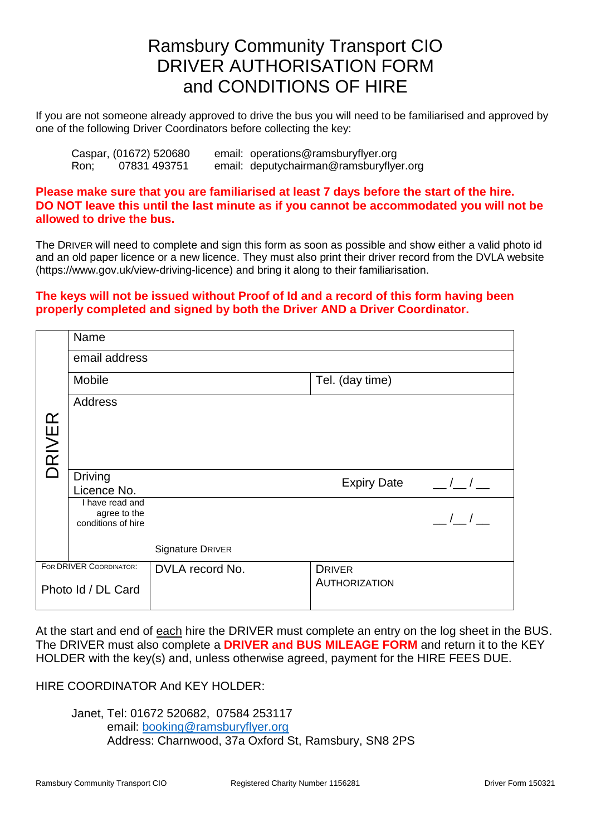# Ramsbury Community Transport CIO DRIVER AUTHORISATION FORM and CONDITIONS OF HIRE

If you are not someone already approved to drive the bus you will need to be familiarised and approved by one of the following Driver Coordinators before collecting the key:

|      | Caspar, (01672) 520680 | email: operations@ramsburyflyer.org     |
|------|------------------------|-----------------------------------------|
| Ron; | 07831 493751           | email: deputychairman@ramsburyflyer.org |

**Please make sure that you are familiarised at least 7 days before the start of the hire. DO NOT leave this until the last minute as if you cannot be accommodated you will not be allowed to drive the bus.**

The DRIVER will need to complete and sign this form as soon as possible and show either a valid photo id and an old paper licence or a new licence. They must also print their driver record from the DVLA website (https://www.gov.uk/view-driving-licence) and bring it along to their familiarisation.

#### **The keys will not be issued without Proof of Id and a record of this form having been properly completed and signed by both the Driver AND a Driver Coordinator.**

|                    | Name                               |                  |                      |               |  |  |  |
|--------------------|------------------------------------|------------------|----------------------|---------------|--|--|--|
|                    | email address                      |                  |                      |               |  |  |  |
|                    | Mobile                             |                  | Tel. (day time)      |               |  |  |  |
|                    | <b>Address</b>                     |                  |                      |               |  |  |  |
|                    |                                    |                  |                      |               |  |  |  |
| DRIVER             |                                    |                  |                      |               |  |  |  |
|                    |                                    |                  |                      |               |  |  |  |
|                    | <b>Driving</b><br>Licence No.      |                  | <b>Expiry Date</b>   | $\frac{1}{2}$ |  |  |  |
|                    | I have read and                    |                  |                      |               |  |  |  |
|                    | agree to the<br>conditions of hire |                  |                      | $\frac{1}{2}$ |  |  |  |
|                    |                                    | Signature DRIVER |                      |               |  |  |  |
|                    | FOR DRIVER COORDINATOR:            | DVLA record No.  | <b>DRIVER</b>        |               |  |  |  |
| Photo Id / DL Card |                                    |                  | <b>AUTHORIZATION</b> |               |  |  |  |
|                    |                                    |                  |                      |               |  |  |  |

At the start and end of each hire the DRIVER must complete an entry on the log sheet in the BUS. The DRIVER must also complete a **DRIVER and BUS MILEAGE FORM** and return it to the KEY HOLDER with the key(s) and, unless otherwise agreed, payment for the HIRE FEES DUE.

### HIRE COORDINATOR And KEY HOLDER:

Janet, Tel: 01672 520682, 07584 253117 email: [booking@ramsburyflyer.org](mailto:booking@ramsburyflyer.org) Address: Charnwood, 37a Oxford St, Ramsbury, SN8 2PS